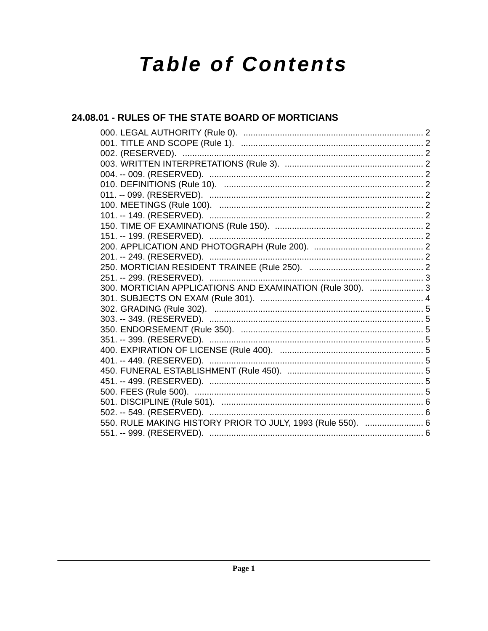# **Table of Contents**

## 24.08.01 - RULES OF THE STATE BOARD OF MORTICIANS

| 300. MORTICIAN APPLICATIONS AND EXAMINATION (Rule 300).  3  |  |
|-------------------------------------------------------------|--|
|                                                             |  |
|                                                             |  |
|                                                             |  |
|                                                             |  |
|                                                             |  |
|                                                             |  |
|                                                             |  |
|                                                             |  |
|                                                             |  |
|                                                             |  |
|                                                             |  |
| 502. -- 549. (RESERVED).                                    |  |
| 550. RULE MAKING HISTORY PRIOR TO JULY, 1993 (Rule 550).  6 |  |
|                                                             |  |
|                                                             |  |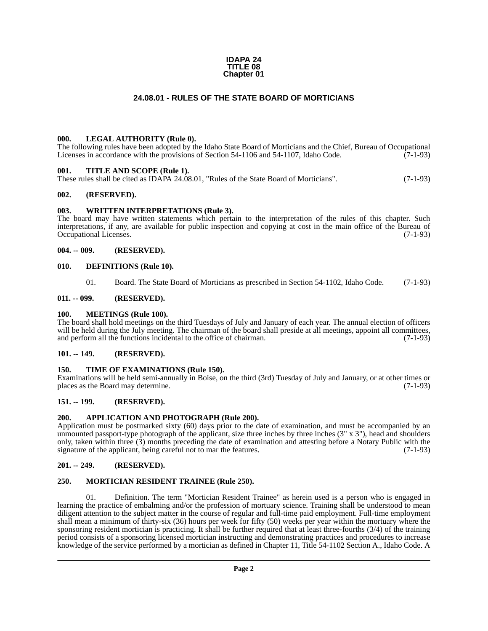#### **IDAPA 24 TITLE 08 Chapter 01**

#### **24.08.01 - RULES OF THE STATE BOARD OF MORTICIANS**

#### <span id="page-1-1"></span><span id="page-1-0"></span>**000. LEGAL AUTHORITY (Rule 0).**

The following rules have been adopted by the Idaho State Board of Morticians and the Chief, Bureau of Occupational Licenses in accordance with the provisions of Section 54-1106 and 54-1107, Idaho Code. (7-1-93)

#### <span id="page-1-2"></span>**001. TITLE AND SCOPE (Rule 1).**

These rules shall be cited as IDAPA 24.08.01, "Rules of the State Board of Morticians". (7-1-93)

#### <span id="page-1-3"></span>**002. (RESERVED).**

#### <span id="page-1-4"></span>**003. WRITTEN INTERPRETATIONS (Rule 3).**

The board may have written statements which pertain to the interpretation of the rules of this chapter. Such interpretations, if any, are available for public inspection and copying at cost in the main office of the Bureau of Occupational Licenses. (7-1-93)

#### <span id="page-1-5"></span>**004. -- 009. (RESERVED).**

#### <span id="page-1-6"></span>**010. DEFINITIONS (Rule 10).**

01. Board. The State Board of Morticians as prescribed in Section 54-1102, Idaho Code. (7-1-93)

#### <span id="page-1-7"></span>**011. -- 099. (RESERVED).**

#### <span id="page-1-8"></span>**100. MEETINGS (Rule 100).**

The board shall hold meetings on the third Tuesdays of July and January of each year. The annual election of officers will be held during the July meeting. The chairman of the board shall preside at all meetings, appoint all committees, and perform all the functions incidental to the office of chairman. (7-1-93) and perform all the functions incidental to the office of chairman.

#### <span id="page-1-9"></span>**101. -- 149. (RESERVED).**

#### <span id="page-1-10"></span>**150. TIME OF EXAMINATIONS (Rule 150).**

Examinations will be held semi-annually in Boise, on the third (3rd) Tuesday of July and January, or at other times or places as the Board may determine.

#### <span id="page-1-11"></span>**151. -- 199. (RESERVED).**

#### <span id="page-1-12"></span>**200. APPLICATION AND PHOTOGRAPH (Rule 200).**

Application must be postmarked sixty (60) days prior to the date of examination, and must be accompanied by an unmounted passport-type photograph of the applicant, size three inches by three inches  $(3'' \times 3'')$ , head and shoulders only, taken within three (3) months preceding the date of examination and attesting before a Notary Public with the signature of the applicant, being careful not to mar the features. (7-1-93)

#### <span id="page-1-13"></span>**201. -- 249. (RESERVED).**

#### <span id="page-1-14"></span>**250. MORTICIAN RESIDENT TRAINEE (Rule 250).**

01. Definition. The term "Mortician Resident Trainee" as herein used is a person who is engaged in learning the practice of embalming and/or the profession of mortuary science. Training shall be understood to mean diligent attention to the subject matter in the course of regular and full-time paid employment. Full-time employment shall mean a minimum of thirty-six (36) hours per week for fifty (50) weeks per year within the mortuary where the sponsoring resident mortician is practicing. It shall be further required that at least three-fourths (3/4) of the training period consists of a sponsoring licensed mortician instructing and demonstrating practices and procedures to increase knowledge of the service performed by a mortician as defined in Chapter 11, Title 54-1102 Section A., Idaho Code. A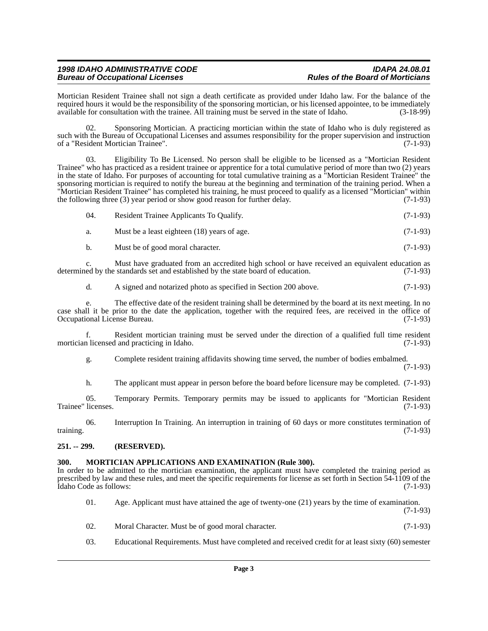### *1998 IDAHO ADMINISTRATIVE CODE IDAPA 24.08.01* **Bureau of Occupational Licenses**

Mortician Resident Trainee shall not sign a death certificate as provided under Idaho law. For the balance of the required hours it would be the responsibility of the sponsoring mortician, or his licensed appointee, to be immediately available for consultation with the trainee. All training must be served in the state of Idaho. (3-18-99)

02. Sponsoring Mortician. A practicing mortician within the state of Idaho who is duly registered as such with the Bureau of Occupational Licenses and assumes responsibility for the proper supervision and instruction<br>of a "Resident Mortician Trainee". (7-1-93) of a "Resident Mortician Trainee".

03. Eligibility To Be Licensed. No person shall be eligible to be licensed as a "Mortician Resident Trainee" who has practiced as a resident trainee or apprentice for a total cumulative period of more than two (2) years in the state of Idaho. For purposes of accounting for total cumulative training as a "Mortician Resident Trainee" the sponsoring mortician is required to notify the bureau at the beginning and termination of the training period. When a "Mortician Resident Trainee" has completed his training, he must proceed to qualify as a licensed "Mortician" within the following three (3) year period or show good reason for further delay. (7-1-93)

| 04. | Resident Trainee Applicants To Qualify. | $(7-1-93)$ |
|-----|-----------------------------------------|------------|
|     |                                         |            |

a. Must be a least eighteen (18) years of age. (7-1-93)

b. Must be of good moral character. (7-1-93)

c. Must have graduated from an accredited high school or have received an equivalent education as ed by the standards set and established by the state board of education. (7-1-93) determined by the standards set and established by the state board of education.

d. A signed and notarized photo as specified in Section 200 above. (7-1-93)

e. The effective date of the resident training shall be determined by the board at its next meeting. In no case shall it be prior to the date the application, together with the required fees, are received in the office of Occupational License Bureau. (7-1-93) Occupational License Bureau.

f. Resident mortician training must be served under the direction of a qualified full time resident mortician licensed and practicing in Idaho.

g. Complete resident training affidavits showing time served, the number of bodies embalmed.

(7-1-93)

h. The applicant must appear in person before the board before licensure may be completed. (7-1-93)

05. Temporary Permits. Temporary permits may be issued to applicants for "Mortician Resident licenses. (7-1-93) Trainee" licenses.

06. Interruption In Training. An interruption in training of 60 days or more constitutes termination of training. (7-1-93)

#### <span id="page-2-0"></span>**251. -- 299. (RESERVED).**

#### <span id="page-2-1"></span>**300. MORTICIAN APPLICATIONS AND EXAMINATION (Rule 300).**

In order to be admitted to the mortician examination, the applicant must have completed the training period as prescribed by law and these rules, and meet the specific requirements for license as set forth in Section 54-1109 of the Idaho Code as follows: (7-1-93) Idaho Code as follows:

| 01. | Age. Applicant must have attained the age of twenty-one $(21)$ years by the time of examination. |
|-----|--------------------------------------------------------------------------------------------------|
|     | $(7-1-93)$                                                                                       |
|     |                                                                                                  |

- 02. Moral Character. Must be of good moral character. (7-1-93)
- 03. Educational Requirements. Must have completed and received credit for at least sixty (60) semester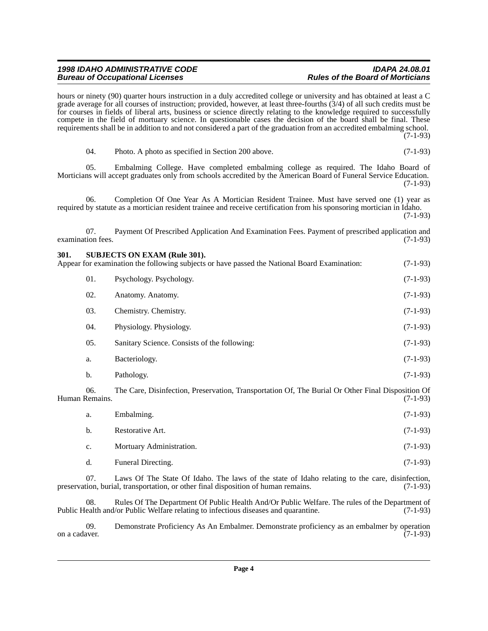#### *1998 IDAHO ADMINISTRATIVE CODE IDAPA 24.08.01* **Bureau of Occupational Licenses**

hours or ninety (90) quarter hours instruction in a duly accredited college or university and has obtained at least a C grade average for all courses of instruction; provided, however, at least three-fourths (3/4) of all such credits must be for courses in fields of liberal arts, business or science directly relating to the knowledge required to successfully compete in the field of mortuary science. In questionable cases the decision of the board shall be final. These requirements shall be in addition to and not considered a part of the graduation from an accredited embalming school. (7-1-93)

| Photo. A photo as specified in Section 200 above. | $(7-1-93)$ |
|---------------------------------------------------|------------|
|                                                   |            |

05. Embalming College. Have completed embalming college as required. The Idaho Board of Morticians will accept graduates only from schools accredited by the American Board of Funeral Service Education. (7-1-93)

06. Completion Of One Year As A Mortician Resident Trainee. Must have served one (1) year as required by statute as a mortician resident trainee and receive certification from his sponsoring mortician in Idaho. (7-1-93)

07. Payment Of Prescribed Application And Examination Fees. Payment of prescribed application and examination fees. (7-1-93)

# <span id="page-3-0"></span>**301. SUBJECTS ON EXAM (Rule 301).** Appear for examination the following subjects or have passed the National Board Examination: (7-1-93) 01. Psychology. Psychology. (7-1-93) 02. Anatomy. Anatomy. (7-1-93) 03. Chemistry. Chemistry. (7-1-93) 04. Physiology. Physiology. (7-1-93) 05. Sanitary Science. Consists of the following: (7-1-93) a. Bacteriology. (7-1-93) b. Pathology. (7-1-93) 06. The Care, Disinfection, Preservation, Transportation Of, The Burial Or Other Final Disposition Of Human Remains. (7-1-93) a. Embalming. (7-1-93) b. Restorative Art. (7-1-93)

c. Mortuary Administration. (7-1-93) d. Funeral Directing. (7-1-93)

07. Laws Of The State Of Idaho. The laws of the state of Idaho relating to the care, disinfection, burial, transportation, or other final disposition of human remains. (7-1-93) preservation, burial, transportation, or other final disposition of human remains.

08. Rules Of The Department Of Public Health And/Or Public Welfare. The rules of the Department of ealth and/or Public Welfare relating to infectious diseases and quarantine. (7-1-93) Public Health and/or Public Welfare relating to infectious diseases and quarantine.

09. Demonstrate Proficiency As An Embalmer. Demonstrate proficiency as an embalmer by operation on a cadaver. (7-1-93) on a cadaver.  $(7-1-93)$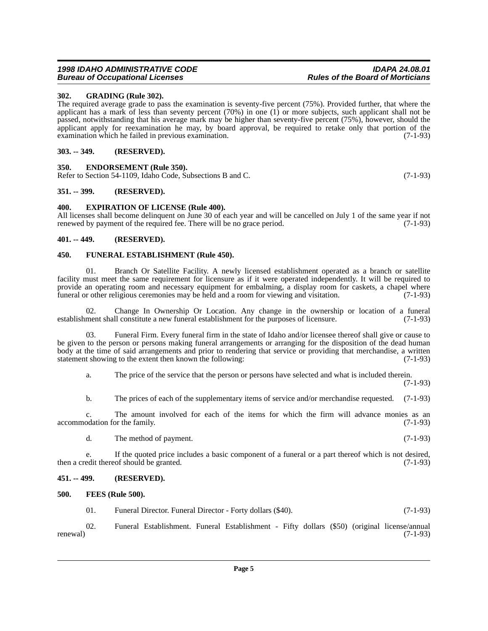#### <span id="page-4-0"></span>**302. GRADING (Rule 302).**

The required average grade to pass the examination is seventy-five percent (75%). Provided further, that where the applicant has a mark of less than seventy percent (70%) in one (1) or more subjects, such applicant shall not be passed, notwithstanding that his average mark may be higher than seventy-five percent (75%), however, should the applicant apply for reexamination he may, by board approval, be required to retake only that portion of the examination which he failed in previous examination. (7-1-93)

#### <span id="page-4-1"></span>**303. -- 349. (RESERVED).**

#### <span id="page-4-2"></span>**350. ENDORSEMENT (Rule 350).**

Refer to Section 54-1109, Idaho Code, Subsections B and C. (7-1-93)

#### <span id="page-4-3"></span>**351. -- 399. (RESERVED).**

#### <span id="page-4-4"></span>**400. EXPIRATION OF LICENSE (Rule 400).**

All licenses shall become delinquent on June 30 of each year and will be cancelled on July 1 of the same year if not renewed by payment of the required fee. There will be no grace period. (7-1-93) renewed by payment of the required fee. There will be no grace period.

#### <span id="page-4-5"></span>**401. -- 449. (RESERVED).**

#### <span id="page-4-6"></span>**450. FUNERAL ESTABLISHMENT (Rule 450).**

01. Branch Or Satellite Facility. A newly licensed establishment operated as a branch or satellite facility must meet the same requirement for licensure as if it were operated independently. It will be required to provide an operating room and necessary equipment for embalming, a display room for caskets, a chapel where funeral or other religious ceremonies may be held and a room for viewing and visitation. (7-1-93) funeral or other religious ceremonies may be held and a room for viewing and visitation.

02. Change In Ownership Or Location. Any change in the ownership or location of a funeral ment shall constitute a new funeral establishment for the purposes of licensure. (7-1-93) establishment shall constitute a new funeral establishment for the purposes of licensure.

Funeral Firm. Every funeral firm in the state of Idaho and/or licensee thereof shall give or cause to be given to the person or persons making funeral arrangements or arranging for the disposition of the dead human body at the time of said arrangements and prior to rendering that service or providing that merchandise, a written statement showing to the extent then known the following: (7-1-93)

a. The price of the service that the person or persons have selected and what is included therein.

(7-1-93)

b. The prices of each of the supplementary items of service and/or merchandise requested. (7-1-93)

c. The amount involved for each of the items for which the firm will advance monies as an odation for the family. (7-1-93) accommodation for the family.

d. The method of payment. (7-1-93)

e. If the quoted price includes a basic component of a funeral or a part thereof which is not desired, (7-1-93) then a credit thereof should be granted.

#### <span id="page-4-7"></span>**451. -- 499. (RESERVED).**

#### <span id="page-4-8"></span>**500. FEES (Rule 500).**

01. Funeral Director. Funeral Director - Forty dollars (\$40). (7-1-93)

02. Funeral Establishment. Funeral Establishment - Fifty dollars (\$50) (original license/annual renewal)  $(7-1-93)$